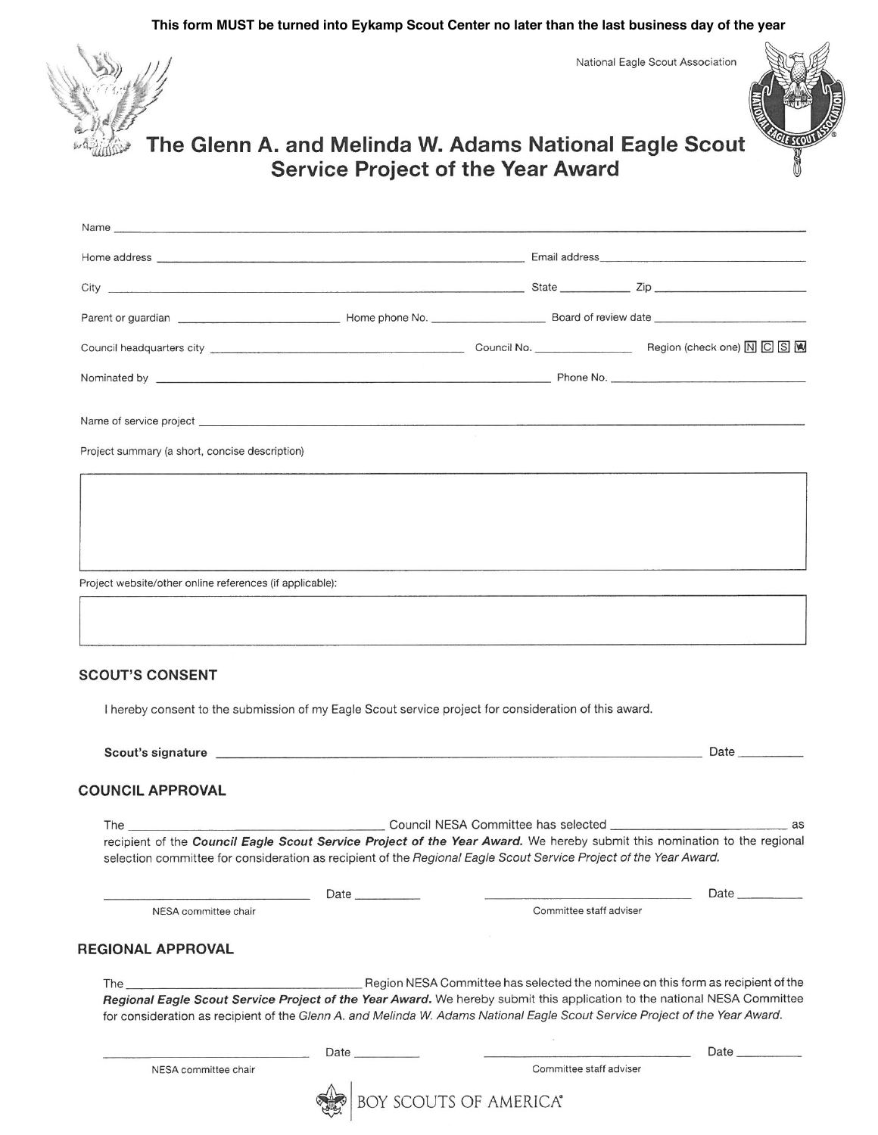**This form MUST be turned into Eykamp Scout Center no later than the last business day of the year**

National Eagle Scout Association



Name



## The Glenn A. and Melinda W. Adams National Eagle Scout **Service Project of the Year Award**

| Name of service project experience and the control of the control of the control of service project experience of the control of the control of the control of the control of the control of the control of the control of the |      |                               |                                                                                                                          |  |
|--------------------------------------------------------------------------------------------------------------------------------------------------------------------------------------------------------------------------------|------|-------------------------------|--------------------------------------------------------------------------------------------------------------------------|--|
| Project summary (a short, concise description)                                                                                                                                                                                 |      |                               |                                                                                                                          |  |
|                                                                                                                                                                                                                                |      |                               |                                                                                                                          |  |
|                                                                                                                                                                                                                                |      |                               |                                                                                                                          |  |
|                                                                                                                                                                                                                                |      |                               |                                                                                                                          |  |
|                                                                                                                                                                                                                                |      |                               |                                                                                                                          |  |
| Project website/other online references (if applicable):                                                                                                                                                                       |      |                               |                                                                                                                          |  |
|                                                                                                                                                                                                                                |      |                               |                                                                                                                          |  |
|                                                                                                                                                                                                                                |      |                               |                                                                                                                          |  |
| I hereby consent to the submission of my Eagle Scout service project for consideration of this award.                                                                                                                          |      |                               |                                                                                                                          |  |
|                                                                                                                                                                                                                                |      |                               |                                                                                                                          |  |
| <b>COUNCIL APPROVAL</b>                                                                                                                                                                                                        |      |                               |                                                                                                                          |  |
| The the contract of the contract of the contract of the contract of the contract of the contract of the contract of the contract of the contract of the contract of the contract of the contract of the contract of the contra |      |                               | $\overline{\phantom{a}}$ as                                                                                              |  |
|                                                                                                                                                                                                                                |      |                               | recipient of the Council Eagle Scout Service Project of the Year Award. We hereby submit this nomination to the regional |  |
| selection committee for consideration as recipient of the Regional Eagle Scout Service Project of the Year Award.                                                                                                              |      |                               |                                                                                                                          |  |
|                                                                                                                                                                                                                                | Date |                               | Date $\frac{1}{2}$                                                                                                       |  |
| NESA committee chair                                                                                                                                                                                                           |      | Committee staff adviser       |                                                                                                                          |  |
|                                                                                                                                                                                                                                |      |                               |                                                                                                                          |  |
| REGIONAL APPROVAL                                                                                                                                                                                                              |      |                               |                                                                                                                          |  |
| The $\_\_$                                                                                                                                                                                                                     |      |                               | Region NESA Committee has selected the nominee on this form as recipient of the                                          |  |
| for consideration as recipient of the Glenn A. and Melinda W. Adams National Eagle Scout Service Project of the Year Award.                                                                                                    |      |                               | Regional Eagle Scout Service Project of the Year Award. We hereby submit this application to the national NESA Committee |  |
|                                                                                                                                                                                                                                |      |                               |                                                                                                                          |  |
|                                                                                                                                                                                                                                | Date |                               | <b>Date</b>                                                                                                              |  |
| NESA committee chair                                                                                                                                                                                                           |      | Committee staff adviser       |                                                                                                                          |  |
|                                                                                                                                                                                                                                |      | <b>BOY SCOUTS OF AMERICA®</b> |                                                                                                                          |  |

 $\mathbf{e}$